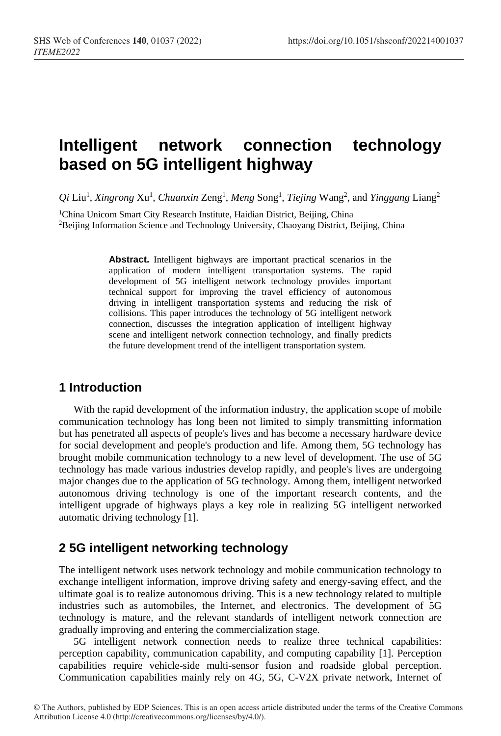# **Intelligent network connection technology based on 5G intelligent highway**

*Qi* Liu1 , *Xingrong* Xu1 , *Chuanxin* Zeng1 , *Meng* Song1 , *Tiejing* Wang2 , and *Yinggang* Liang2

<sup>1</sup>China Unicom Smart City Research Institute, Haidian District, Beijing, China 2Beijing Information Science and Technology University, Chaoyang District, Beijing, China

> **Abstract.** Intelligent highways are important practical scenarios in the application of modern intelligent transportation systems. The rapid development of 5G intelligent network technology provides important technical support for improving the travel efficiency of autonomous driving in intelligent transportation systems and reducing the risk of collisions. This paper introduces the technology of 5G intelligent network connection, discusses the integration application of intelligent highway scene and intelligent network connection technology, and finally predicts the future development trend of the intelligent transportation system.

### **1 Introduction**

With the rapid development of the information industry, the application scope of mobile communication technology has long been not limited to simply transmitting information but has penetrated all aspects of people's lives and has become a necessary hardware device for social development and people's production and life. Among them, 5G technology has brought mobile communication technology to a new level of development. The use of 5G technology has made various industries develop rapidly, and people's lives are undergoing major changes due to the application of 5G technology. Among them, intelligent networked autonomous driving technology is one of the important research contents, and the intelligent upgrade of highways plays a key role in realizing 5G intelligent networked automatic driving technology [1].

### **2 5G intelligent networking technology**

The intelligent network uses network technology and mobile communication technology to exchange intelligent information, improve driving safety and energy-saving effect, and the ultimate goal is to realize autonomous driving. This is a new technology related to multiple industries such as automobiles, the Internet, and electronics. The development of 5G technology is mature, and the relevant standards of intelligent network connection are gradually improving and entering the commercialization stage.

5G intelligent network connection needs to realize three technical capabilities: perception capability, communication capability, and computing capability [1]. Perception capabilities require vehicle-side multi-sensor fusion and roadside global perception. Communication capabilities mainly rely on 4G, 5G, C-V2X private network, Internet of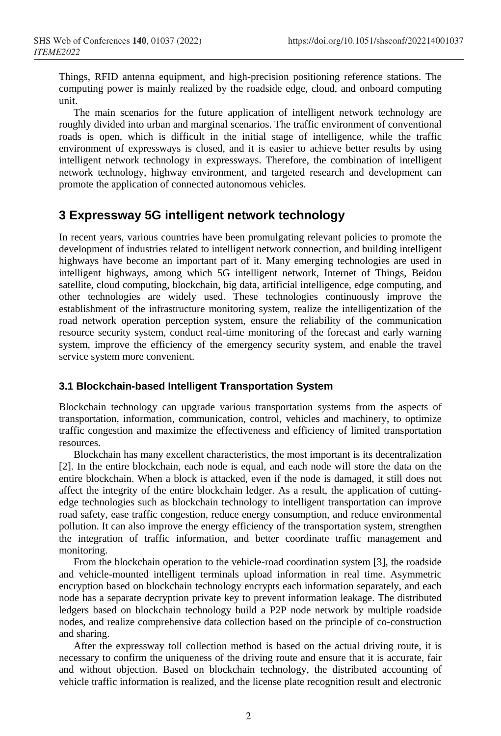Things, RFID antenna equipment, and high-precision positioning reference stations. The computing power is mainly realized by the roadside edge, cloud, and onboard computing unit.

The main scenarios for the future application of intelligent network technology are roughly divided into urban and marginal scenarios. The traffic environment of conventional roads is open, which is difficult in the initial stage of intelligence, while the traffic environment of expressways is closed, and it is easier to achieve better results by using intelligent network technology in expressways. Therefore, the combination of intelligent network technology, highway environment, and targeted research and development can promote the application of connected autonomous vehicles.

# **3 Expressway 5G intelligent network technology**

In recent years, various countries have been promulgating relevant policies to promote the development of industries related to intelligent network connection, and building intelligent highways have become an important part of it. Many emerging technologies are used in intelligent highways, among which 5G intelligent network, Internet of Things, Beidou satellite, cloud computing, blockchain, big data, artificial intelligence, edge computing, and other technologies are widely used. These technologies continuously improve the establishment of the infrastructure monitoring system, realize the intelligentization of the road network operation perception system, ensure the reliability of the communication resource security system, conduct real-time monitoring of the forecast and early warning system, improve the efficiency of the emergency security system, and enable the travel service system more convenient.

#### **3.1 Blockchain-based Intelligent Transportation System**

Blockchain technology can upgrade various transportation systems from the aspects of transportation, information, communication, control, vehicles and machinery, to optimize traffic congestion and maximize the effectiveness and efficiency of limited transportation resources.

Blockchain has many excellent characteristics, the most important is its decentralization [2]. In the entire blockchain, each node is equal, and each node will store the data on the entire blockchain. When a block is attacked, even if the node is damaged, it still does not affect the integrity of the entire blockchain ledger. As a result, the application of cuttingedge technologies such as blockchain technology to intelligent transportation can improve road safety, ease traffic congestion, reduce energy consumption, and reduce environmental pollution. It can also improve the energy efficiency of the transportation system, strengthen the integration of traffic information, and better coordinate traffic management and monitoring.

From the blockchain operation to the vehicle-road coordination system [3], the roadside and vehicle-mounted intelligent terminals upload information in real time. Asymmetric encryption based on blockchain technology encrypts each information separately, and each node has a separate decryption private key to prevent information leakage. The distributed ledgers based on blockchain technology build a P2P node network by multiple roadside nodes, and realize comprehensive data collection based on the principle of co-construction and sharing.

After the expressway toll collection method is based on the actual driving route, it is necessary to confirm the uniqueness of the driving route and ensure that it is accurate, fair and without objection. Based on blockchain technology, the distributed accounting of vehicle traffic information is realized, and the license plate recognition result and electronic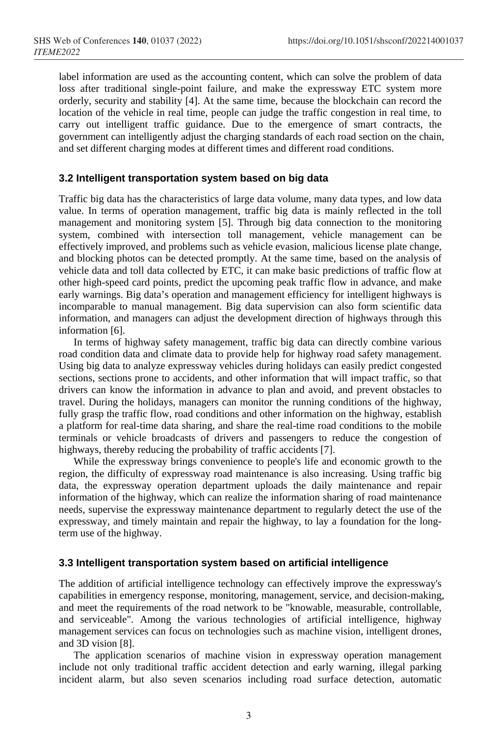label information are used as the accounting content, which can solve the problem of data loss after traditional single-point failure, and make the expressway ETC system more orderly, security and stability [4]. At the same time, because the blockchain can record the location of the vehicle in real time, people can judge the traffic congestion in real time, to carry out intelligent traffic guidance. Due to the emergence of smart contracts, the government can intelligently adjust the charging standards of each road section on the chain, and set different charging modes at different times and different road conditions.

#### **3.2 Intelligent transportation system based on big data**

Traffic big data has the characteristics of large data volume, many data types, and low data value. In terms of operation management, traffic big data is mainly reflected in the toll management and monitoring system [5]. Through big data connection to the monitoring system, combined with intersection toll management, vehicle management can be effectively improved, and problems such as vehicle evasion, malicious license plate change, and blocking photos can be detected promptly. At the same time, based on the analysis of vehicle data and toll data collected by ETC, it can make basic predictions of traffic flow at other high-speed card points, predict the upcoming peak traffic flow in advance, and make early warnings. Big data's operation and management efficiency for intelligent highways is incomparable to manual management. Big data supervision can also form scientific data information, and managers can adjust the development direction of highways through this information [6].

In terms of highway safety management, traffic big data can directly combine various road condition data and climate data to provide help for highway road safety management. Using big data to analyze expressway vehicles during holidays can easily predict congested sections, sections prone to accidents, and other information that will impact traffic, so that drivers can know the information in advance to plan and avoid, and prevent obstacles to travel. During the holidays, managers can monitor the running conditions of the highway, fully grasp the traffic flow, road conditions and other information on the highway, establish a platform for real-time data sharing, and share the real-time road conditions to the mobile terminals or vehicle broadcasts of drivers and passengers to reduce the congestion of highways, thereby reducing the probability of traffic accidents [7].

While the expressway brings convenience to people's life and economic growth to the region, the difficulty of expressway road maintenance is also increasing. Using traffic big data, the expressway operation department uploads the daily maintenance and repair information of the highway, which can realize the information sharing of road maintenance needs, supervise the expressway maintenance department to regularly detect the use of the expressway, and timely maintain and repair the highway, to lay a foundation for the longterm use of the highway.

#### **3.3 Intelligent transportation system based on artificial intelligence**

The addition of artificial intelligence technology can effectively improve the expressway's capabilities in emergency response, monitoring, management, service, and decision-making, and meet the requirements of the road network to be "knowable, measurable, controllable, and serviceable". Among the various technologies of artificial intelligence, highway management services can focus on technologies such as machine vision, intelligent drones, and 3D vision [8].

The application scenarios of machine vision in expressway operation management include not only traditional traffic accident detection and early warning, illegal parking incident alarm, but also seven scenarios including road surface detection, automatic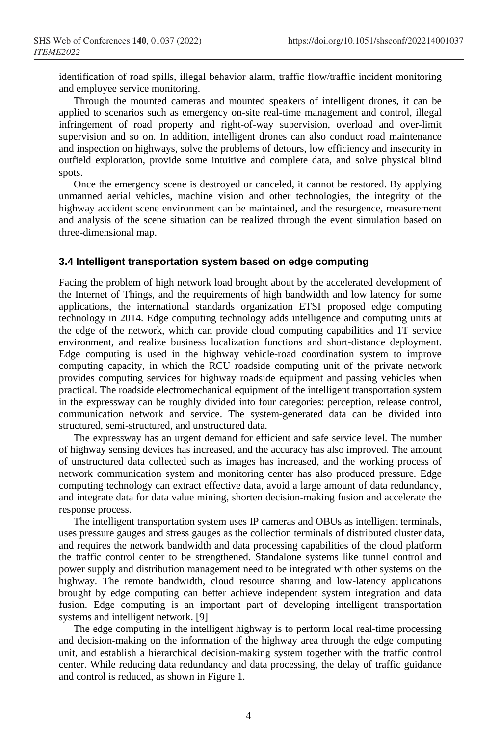identification of road spills, illegal behavior alarm, traffic flow/traffic incident monitoring and employee service monitoring.

Through the mounted cameras and mounted speakers of intelligent drones, it can be applied to scenarios such as emergency on-site real-time management and control, illegal infringement of road property and right-of-way supervision, overload and over-limit supervision and so on. In addition, intelligent drones can also conduct road maintenance and inspection on highways, solve the problems of detours, low efficiency and insecurity in outfield exploration, provide some intuitive and complete data, and solve physical blind spots.

Once the emergency scene is destroyed or canceled, it cannot be restored. By applying unmanned aerial vehicles, machine vision and other technologies, the integrity of the highway accident scene environment can be maintained, and the resurgence, measurement and analysis of the scene situation can be realized through the event simulation based on three-dimensional map.

#### **3.4 Intelligent transportation system based on edge computing**

Facing the problem of high network load brought about by the accelerated development of the Internet of Things, and the requirements of high bandwidth and low latency for some applications, the international standards organization ETSI proposed edge computing technology in 2014. Edge computing technology adds intelligence and computing units at the edge of the network, which can provide cloud computing capabilities and 1T service environment, and realize business localization functions and short-distance deployment. Edge computing is used in the highway vehicle-road coordination system to improve computing capacity, in which the RCU roadside computing unit of the private network provides computing services for highway roadside equipment and passing vehicles when practical. The roadside electromechanical equipment of the intelligent transportation system in the expressway can be roughly divided into four categories: perception, release control, communication network and service. The system-generated data can be divided into structured, semi-structured, and unstructured data.

The expressway has an urgent demand for efficient and safe service level. The number of highway sensing devices has increased, and the accuracy has also improved. The amount of unstructured data collected such as images has increased, and the working process of network communication system and monitoring center has also produced pressure. Edge computing technology can extract effective data, avoid a large amount of data redundancy, and integrate data for data value mining, shorten decision-making fusion and accelerate the response process.

The intelligent transportation system uses IP cameras and OBUs as intelligent terminals, uses pressure gauges and stress gauges as the collection terminals of distributed cluster data, and requires the network bandwidth and data processing capabilities of the cloud platform the traffic control center to be strengthened. Standalone systems like tunnel control and power supply and distribution management need to be integrated with other systems on the highway. The remote bandwidth, cloud resource sharing and low-latency applications brought by edge computing can better achieve independent system integration and data fusion. Edge computing is an important part of developing intelligent transportation systems and intelligent network. [9]

The edge computing in the intelligent highway is to perform local real-time processing and decision-making on the information of the highway area through the edge computing unit, and establish a hierarchical decision-making system together with the traffic control center. While reducing data redundancy and data processing, the delay of traffic guidance and control is reduced, as shown in Figure 1.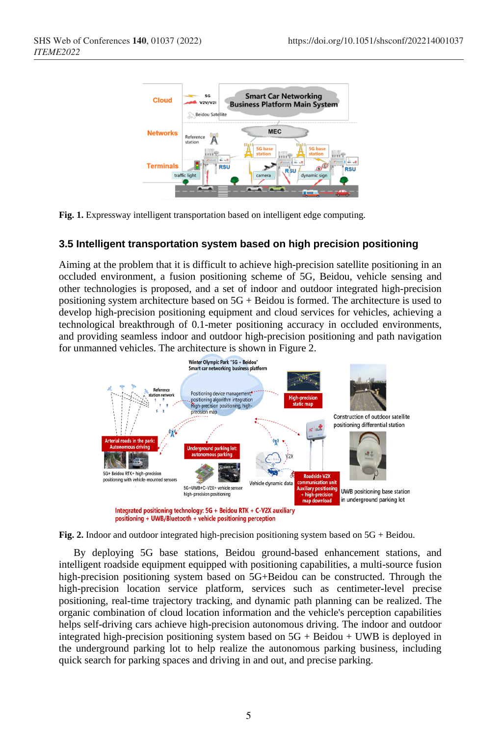

**Fig. 1.** Expressway intelligent transportation based on intelligent edge computing.

#### **3.5 Intelligent transportation system based on high precision positioning**

Aiming at the problem that it is difficult to achieve high-precision satellite positioning in an occluded environment, a fusion positioning scheme of 5G, Beidou, vehicle sensing and other technologies is proposed, and a set of indoor and outdoor integrated high-precision positioning system architecture based on 5G + Beidou is formed. The architecture is used to develop high-precision positioning equipment and cloud services for vehicles, achieving a technological breakthrough of 0.1-meter positioning accuracy in occluded environments, and providing seamless indoor and outdoor high-precision positioning and path navigation for unmanned vehicles. The architecture is shown in Figure 2.





By deploying 5G base stations, Beidou ground-based enhancement stations, and intelligent roadside equipment equipped with positioning capabilities, a multi-source fusion high-precision positioning system based on 5G+Beidou can be constructed. Through the high-precision location service platform, services such as centimeter-level precise positioning, real-time trajectory tracking, and dynamic path planning can be realized. The organic combination of cloud location information and the vehicle's perception capabilities helps self-driving cars achieve high-precision autonomous driving. The indoor and outdoor integrated high-precision positioning system based on  $5G + Beidou + UWB$  is deployed in the underground parking lot to help realize the autonomous parking business, including quick search for parking spaces and driving in and out, and precise parking.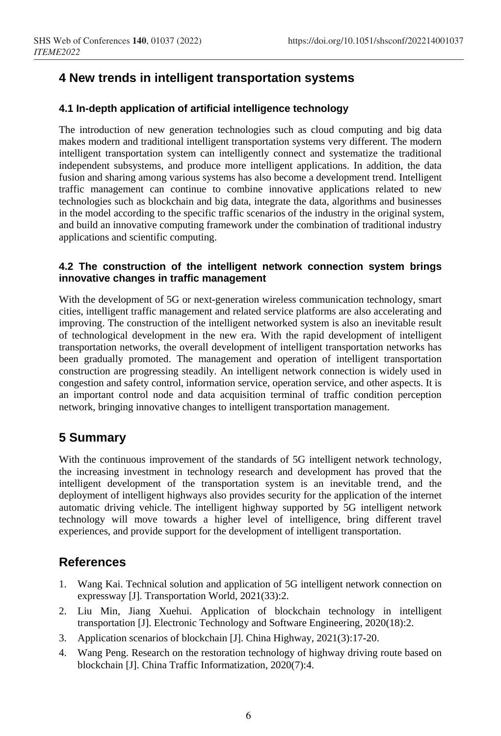# **4 New trends in intelligent transportation systems**

#### **4.1 In-depth application of artificial intelligence technology**

The introduction of new generation technologies such as cloud computing and big data makes modern and traditional intelligent transportation systems very different. The modern intelligent transportation system can intelligently connect and systematize the traditional independent subsystems, and produce more intelligent applications. In addition, the data fusion and sharing among various systems has also become a development trend. Intelligent traffic management can continue to combine innovative applications related to new technologies such as blockchain and big data, integrate the data, algorithms and businesses in the model according to the specific traffic scenarios of the industry in the original system, and build an innovative computing framework under the combination of traditional industry applications and scientific computing.

#### **4.2 The construction of the intelligent network connection system brings innovative changes in traffic management**

With the development of 5G or next-generation wireless communication technology, smart cities, intelligent traffic management and related service platforms are also accelerating and improving. The construction of the intelligent networked system is also an inevitable result of technological development in the new era. With the rapid development of intelligent transportation networks, the overall development of intelligent transportation networks has been gradually promoted. The management and operation of intelligent transportation construction are progressing steadily. An intelligent network connection is widely used in congestion and safety control, information service, operation service, and other aspects. It is an important control node and data acquisition terminal of traffic condition perception network, bringing innovative changes to intelligent transportation management.

# **5 Summary**

With the continuous improvement of the standards of 5G intelligent network technology, the increasing investment in technology research and development has proved that the intelligent development of the transportation system is an inevitable trend, and the deployment of intelligent highways also provides security for the application of the internet automatic driving vehicle. The intelligent highway supported by 5G intelligent network technology will move towards a higher level of intelligence, bring different travel experiences, and provide support for the development of intelligent transportation.

# **References**

- 1. Wang Kai. Technical solution and application of 5G intelligent network connection on expressway [J]. Transportation World, 2021(33):2.
- 2. Liu Min, Jiang Xuehui. Application of blockchain technology in intelligent transportation [J]. Electronic Technology and Software Engineering, 2020(18):2.
- 3. Application scenarios of blockchain [J]. China Highway, 2021(3):17-20.
- 4. Wang Peng. Research on the restoration technology of highway driving route based on blockchain [J]. China Traffic Informatization, 2020(7):4.